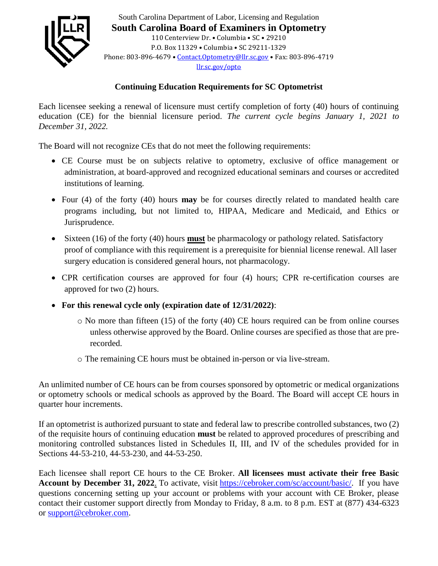

South Carolina Department of Labor, Licensing and Regulation **South Carolina Board of Examiners in Optometry** 110 Centerview Dr. • Columbia • SC • 29210 P.O. Box 11329 • Columbia • SC 29211-1329 Phone: 803-896-4679 • [Contact.Optometry@llr.sc.gov](mailto:OT@llr.sc.gov) • Fax: 803-896-4719 [llr.sc.gov/opto](file://///bushwillow/BoardData/OBS/Optometry/Continuing%20Education/2019%20CE%20Courses/llr.sc.gov/opto)

## **Continuing Education Requirements for SC Optometrist**

Each licensee seeking a renewal of licensure must certify completion of forty (40) hours of continuing education (CE) for the biennial licensure period. *The current cycle begins January 1, 2021 to December 31, 2022.*

The Board will not recognize CEs that do not meet the following requirements:

- CE Course must be on subjects relative to optometry, exclusive of office management or administration, at board-approved and recognized educational seminars and courses or accredited institutions of learning.
- Four (4) of the forty (40) hours **may** be for courses directly related to mandated health care programs including, but not limited to, HIPAA, Medicare and Medicaid, and Ethics or Jurisprudence.
- Sixteen (16) of the forty (40) hours **must** be pharmacology or pathology related. Satisfactory proof of compliance with this requirement is a prerequisite for biennial license renewal. All laser surgery education is considered general hours, not pharmacology.
- CPR certification courses are approved for four (4) hours; CPR re-certification courses are approved for two (2) hours.
- **For this renewal cycle only (expiration date of 12/31/2022)**:
	- o No more than fifteen (15) of the forty (40) CE hours required can be from online courses unless otherwise approved by the Board. Online courses are specified as those that are prerecorded.
	- o The remaining CE hours must be obtained in-person or via live-stream.

An unlimited number of CE hours can be from courses sponsored by optometric or medical organizations or optometry schools or medical schools as approved by the Board. The Board will accept CE hours in quarter hour increments.

If an optometrist is authorized pursuant to state and federal law to prescribe controlled substances, two (2) of the requisite hours of continuing education **must** be related to approved procedures of prescribing and monitoring controlled substances listed in Schedules II, III, and IV of the schedules provided for in Sections 44-53-210, 44-53-230, and 44-53-250.

Each licensee shall report CE hours to the CE Broker. **All licensees must activate their free Basic**  Account by December 31, 2022. To activate, visit [https://cebroker.com/sc/account/basic/.](https://cebroker.com/sc/account/basic/) If you have questions concerning setting up your account or problems with your account with CE Broker, please contact their customer support directly from Monday to Friday, 8 a.m. to 8 p.m. EST at (877) 434-6323 or [support@cebroker.com.](mailto:support@cebroker.com)